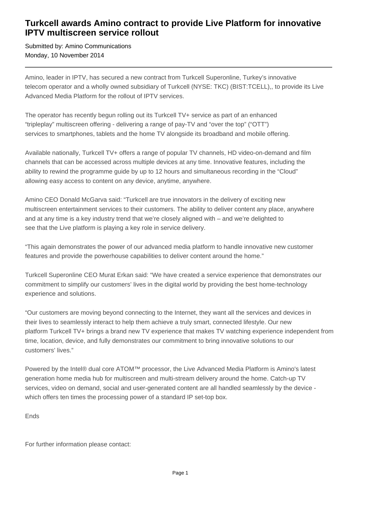## **Turkcell awards Amino contract to provide Live Platform for innovative IPTV multiscreen service rollout**

Submitted by: Amino Communications Monday, 10 November 2014

Amino, leader in IPTV, has secured a new contract from Turkcell Superonline, Turkey's innovative telecom operator and a wholly owned subsidiary of Turkcell (NYSE: TKC) (BIST:TCELL),, to provide its Live Advanced Media Platform for the rollout of IPTV services.

The operator has recently begun rolling out its Turkcell TV+ service as part of an enhanced "tripleplay" multiscreen offering - delivering a range of pay-TV and "over the top" ("OTT") services to smartphones, tablets and the home TV alongside its broadband and mobile offering.

Available nationally, Turkcell TV+ offers a range of popular TV channels, HD video-on-demand and film channels that can be accessed across multiple devices at any time. Innovative features, including the ability to rewind the programme guide by up to 12 hours and simultaneous recording in the "Cloud" allowing easy access to content on any device, anytime, anywhere.

Amino CEO Donald McGarva said: "Turkcell are true innovators in the delivery of exciting new multiscreen entertainment services to their customers. The ability to deliver content any place, anywhere and at any time is a key industry trend that we're closely aligned with – and we're delighted to see that the Live platform is playing a key role in service delivery.

"This again demonstrates the power of our advanced media platform to handle innovative new customer features and provide the powerhouse capabilities to deliver content around the home."

Turkcell Superonline CEO Murat Erkan said: "We have created a service experience that demonstrates our commitment to simplify our customers' lives in the digital world by providing the best home-technology experience and solutions.

"Our customers are moving beyond connecting to the Internet, they want all the services and devices in their lives to seamlessly interact to help them achieve a truly smart, connected lifestyle. Our new platform Turkcell TV+ brings a brand new TV experience that makes TV watching experience independent from time, location, device, and fully demonstrates our commitment to bring innovative solutions to our customers' lives."

Powered by the Intel® dual core ATOM™ processor, the Live Advanced Media Platform is Amino's latest generation home media hub for multiscreen and multi-stream delivery around the home. Catch-up TV services, video on demand, social and user-generated content are all handled seamlessly by the device which offers ten times the processing power of a standard IP set-top box.

Ends

For further information please contact: